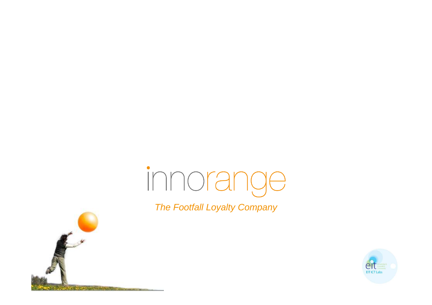# innorange

The Footfall Loyalty Company



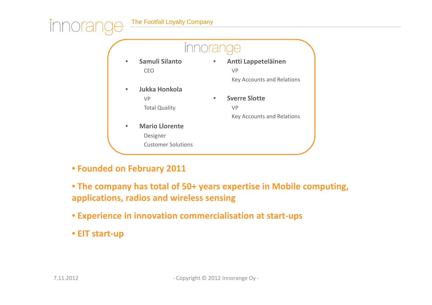



• **Founded on February 2011**

• **The company has total of 50+ years expertise in Mobile computing, applications, radios and wireless sensing**

- **Experience in innovation commercialisation at start-ups**
- **EIT start-up**

innora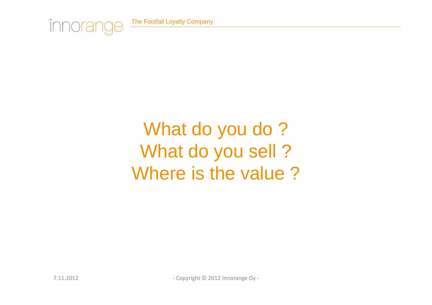

### What do you do? What do you sell ?Where is the value ?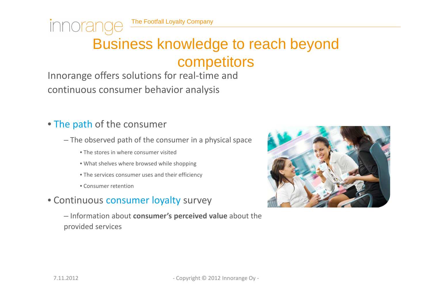### Business knowledge to reach beyond competitors

Innorange offers solutions for real-time and continuous consumer behavior analysis

#### • The path of the consumer

innorano

- The observed path of the consumer in a physical space
	- The stores in where consumer visited
	- What shelves where browsed while shopping
	- The services consumer uses and their efficiency
	- Consumer retention
- Continuous consumer loyalty survey
	- Information about **consumer's perceived value** about the provided services

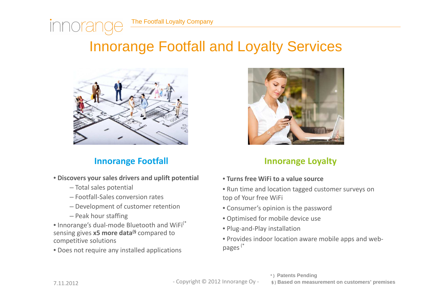### Innorange Footfall and Loyalty Services



#### **Innorange Footfall**

- **Discovers your sales drivers and uplift potential**
	- Total sales potential
	- Footfall-Sales conversion rates
	- Development of customer retention
	- Peak hour staffing

• Innorange's dual-mode Bluetooth and WiFi<sup>(\*</sup> sensing gives **x5 more data(§** compared to competitive solutions

• Does not require any installed applications



#### **Innorange Loyalty**

- **Turns free WiFi to a value source**
- Run time and location tagged customer surveys on top of Your free WiFi
- Consumer's opinion is the password
- Optimised for mobile device use
- Plug-and-Play installation
- Provides indoor location aware mobile apps and webpages(\*

innorar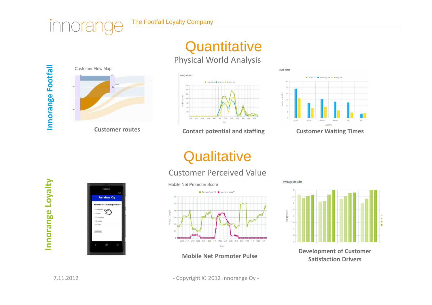### **Quantitative**

#### Physical World Analysis



innorar



**Customer routes Contact potential and staffing** 



**Dwell Time** 

**Average Results** 

**Customer Waiting Times**

### **Qualitative**

#### Customer Perceived Value



**Mobile Net Promoter Pulse**

 $45$  $3.5$ werage score  $25 -$ 1.5

**Development of Customer Satisfaction Drivers**

**Innorange Loyalty**  Innorange Loyalty



7.11.2012 - Copyright © 2012 Innorange Oy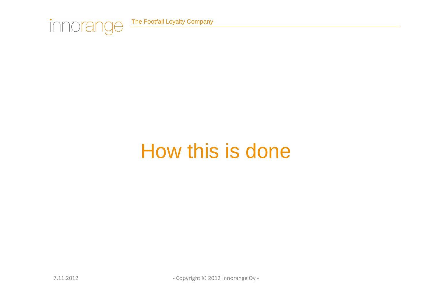

# How this is done

7.11.2012 - Copyright © 2012 Innorange Oy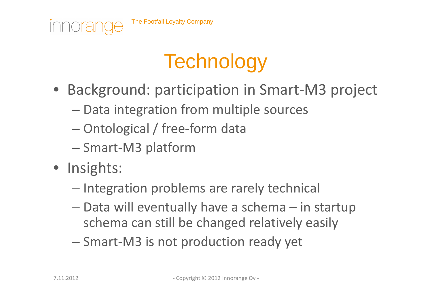

- Background: participation in Smart-M3 project
	- **However the Company**  $-$  Data integration from multiple sources
	- **However the Common** Ontological / free-form data
	- – $-$  Smart-M3 platform
- Insights:

*Innora* 

- **However the Common**  $-$  Integration problems are rarely technical
- **However the Company**  Data will eventually have a schema – in startup schema can still be changed relatively easily
- – $-$  Smart-M3 is not production ready yet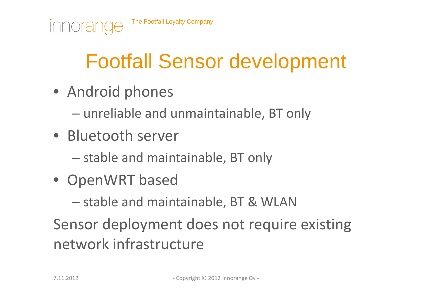# Footfall Sensor development

- Android phones
	- – $-$  unreliable and unmaintainable, BT only
- Bluetooth server
	- **However the Common**  $-$  stable and maintainable, BT only
- OpenWRT based
	- – $-$  stable and maintainable, BT & WLAN

Sensor deployment does not require existing network infrastructure

*Innora*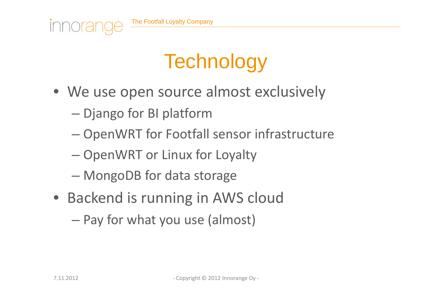

# **Technology**

- We use open source almost exclusively
	- – $-$  Django for BI platform
	- **However the Common**  $-$  OpenWRT for Footfall sensor infrastructure
	- – $-$  OpenWRT or Linux for Loyalty
	- **However the Common** MongoDB for data storage
- Backend is running in AWS cloud
	- –Pay for what you use (almost)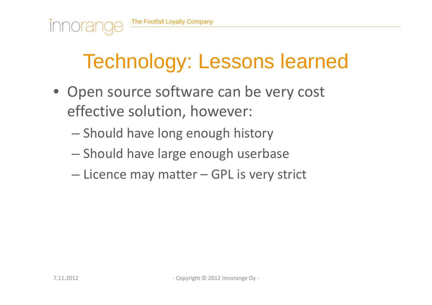# Technology: Lessons learned

- Open source software can be very cost effective solution, however:
	- **However the Common**  $-$  Should have long enough history
	- – $-$  Should have large enough userbase
	- **However the Common** — Licence may matter – GPL is very strict

*Innora*